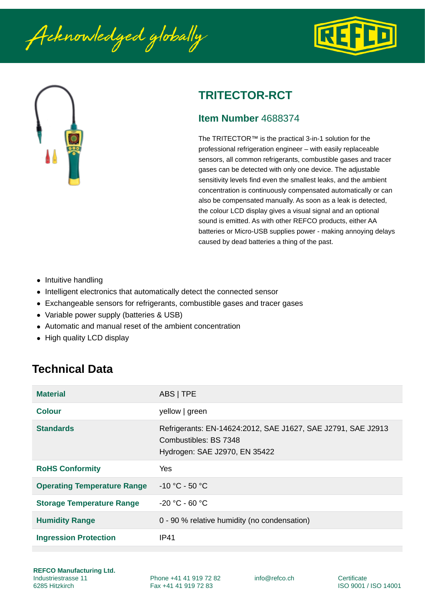Acknowledged globally





# **TRITECTOR-RCT**

#### **Item Number** 4688374

The TRITECTOR™ is the practical 3-in-1 solution for the professional refrigeration engineer – with easily replaceable sensors, all common refrigerants, combustible gases and tracer gases can be detected with only one device. The adjustable sensitivity levels find even the smallest leaks, and the ambient concentration is continuously compensated automatically or can also be compensated manually. As soon as a leak is detected, the colour LCD display gives a visual signal and an optional sound is emitted. As with other REFCO products, either AA batteries or Micro-USB supplies power - making annoying delays caused by dead batteries a thing of the past.

- Intuitive handling
- Intelligent electronics that automatically detect the connected sensor
- Exchangeable sensors for refrigerants, combustible gases and tracer gases
- Variable power supply (batteries & USB)
- Automatic and manual reset of the ambient concentration
- High quality LCD display

## **Technical Data**

| <b>Material</b>                    | ABS   TPE                                                                                                              |
|------------------------------------|------------------------------------------------------------------------------------------------------------------------|
| Colour                             | yellow   green                                                                                                         |
| <b>Standards</b>                   | Refrigerants: EN-14624:2012, SAE J1627, SAE J2791, SAE J2913<br>Combustibles: BS 7348<br>Hydrogen: SAE J2970, EN 35422 |
| <b>RoHS Conformity</b>             | Yes                                                                                                                    |
| <b>Operating Temperature Range</b> | $-10$ °C - 50 °C                                                                                                       |
| <b>Storage Temperature Range</b>   | $-20$ °C - 60 °C                                                                                                       |
| <b>Humidity Range</b>              | 0 - 90 % relative humidity (no condensation)                                                                           |
| <b>Ingression Protection</b>       | IP41                                                                                                                   |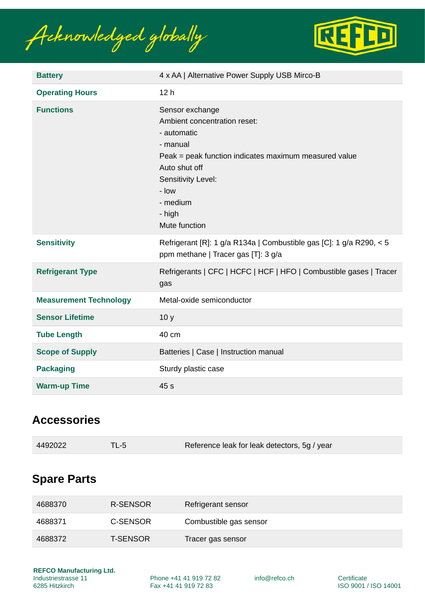Acknowledged globally



| <b>Battery</b>                | 4 x AA   Alternative Power Supply USB Mirco-B                                                                                                                                                                              |  |
|-------------------------------|----------------------------------------------------------------------------------------------------------------------------------------------------------------------------------------------------------------------------|--|
| <b>Operating Hours</b>        | 12 <sub>h</sub>                                                                                                                                                                                                            |  |
| <b>Functions</b>              | Sensor exchange<br>Ambient concentration reset:<br>- automatic<br>- manual<br>Peak = peak function indicates maximum measured value<br>Auto shut off<br>Sensitivity Level:<br>- low<br>- medium<br>- high<br>Mute function |  |
| <b>Sensitivity</b>            | Refrigerant [R]: 1 g/a R134a   Combustible gas [C]: 1 g/a R290, < 5<br>ppm methane   Tracer gas [T]: 3 g/a                                                                                                                 |  |
| <b>Refrigerant Type</b>       | Refrigerants   CFC   HCFC   HCF   HFO   Combustible gases   Tracer<br>gas                                                                                                                                                  |  |
| <b>Measurement Technology</b> | Metal-oxide semiconductor                                                                                                                                                                                                  |  |
| <b>Sensor Lifetime</b>        | 10 <sub>y</sub>                                                                                                                                                                                                            |  |
| <b>Tube Length</b>            | 40 cm                                                                                                                                                                                                                      |  |
| <b>Scope of Supply</b>        | Batteries   Case   Instruction manual                                                                                                                                                                                      |  |
| <b>Packaging</b>              | Sturdy plastic case                                                                                                                                                                                                        |  |
| <b>Warm-up Time</b>           | 45 <sub>s</sub>                                                                                                                                                                                                            |  |

### **Accessories**

| 4492022 | TL-5 | Reference leak for leak detectors, 5g / year |
|---------|------|----------------------------------------------|
|---------|------|----------------------------------------------|

#### **Spare Parts**

| 4688370 | R-SENSOR        | Refrigerant sensor     |
|---------|-----------------|------------------------|
| 4688371 | C-SENSOR        | Combustible gas sensor |
| 4688372 | <b>T-SENSOR</b> | Tracer gas sensor      |